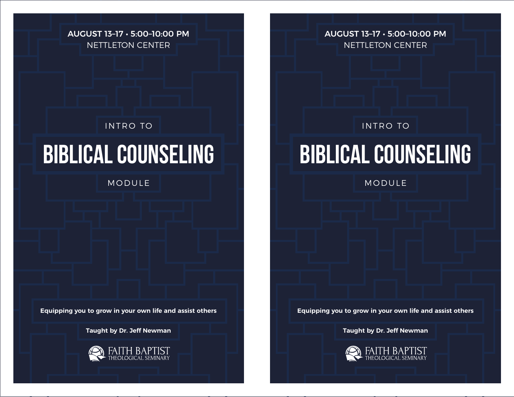AUGUST 13–17 • 5:00–10:00 PM NETTLETON CENTER

### INTRO TO **INTRO TO INTRO TO INTRO TO**

MODULE NOTIFIED AND THE MODULE IN THE MODULE

**Equipping you to grow in your own life and assist others Equipping you to grow in your own life and assist others**

**Taught by Dr. Jeff Newman Taught by Dr. Jeff Newman**



AUGUST 13–17 • 5:00–10:00 PM NETTLETON CENTER

# **Biblical Counseling Biblical Counseling**